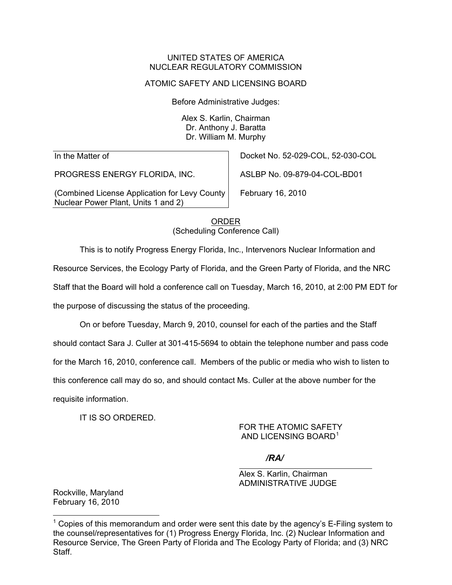#### UNITED STATES OF AMERICA NUCLEAR REGULATORY COMMISSION

### ATOMIC SAFETY AND LICENSING BOARD

Before Administrative Judges:

Alex S. Karlin, Chairman Dr. Anthony J. Baratta Dr. William M. Murphy

In the Matter of

PROGRESS ENERGY FLORIDA, INC.

(Combined License Application for Levy County Nuclear Power Plant, Units 1 and 2)

Docket No. 52-029-COL, 52-030-COL

ASLBP No. 09-879-04-COL-BD01

February 16, 2010

ORDER (Scheduling Conference Call)

This is to notify Progress Energy Florida, Inc., Intervenors Nuclear Information and

Resource Services, the Ecology Party of Florida, and the Green Party of Florida, and the NRC

Staff that the Board will hold a conference call on Tuesday, March 16, 2010, at 2:00 PM EDT for

the purpose of discussing the status of the proceeding.

 On or before Tuesday, March 9, 2010, counsel for each of the parties and the Staff should contact Sara J. Culler at 301-415-5694 to obtain the telephone number and pass code for the March 16, 2010, conference call. Members of the public or media who wish to listen to this conference call may do so, and should contact Ms. Culler at the above number for the requisite information.

IT IS SO ORDERED.

## FOR THE ATOMIC SAFETY AND LICENSING BOARD<sup>[1](#page-0-0)</sup>

# */RA/*

 Alex S. Karlin, Chairman ADMINISTRATIVE JUDGE

Rockville, Maryland February 16, 2010

<span id="page-0-0"></span><sup>-</sup> $1$  Copies of this memorandum and order were sent this date by the agency's E-Filing system to the counsel/representatives for (1) Progress Energy Florida, Inc. (2) Nuclear Information and Resource Service, The Green Party of Florida and The Ecology Party of Florida; and (3) NRC Staff.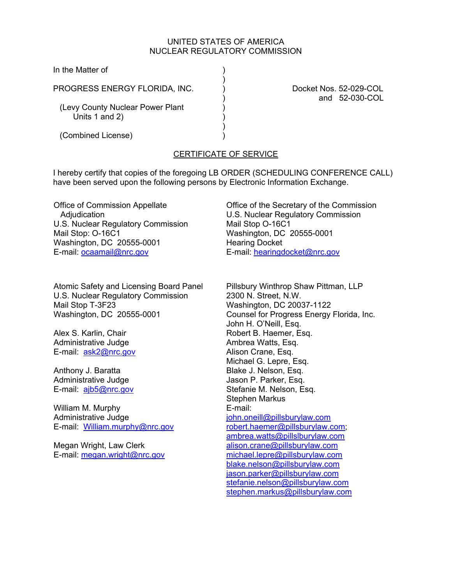### UNITED STATES OF AMERICA NUCLEAR REGULATORY COMMISSION

In the Matter of

PROGRESS ENERGY FLORIDA, INC. (a) Docket Nos. 52-029-COL

 $)$ 

 $)$ 

(Levy County Nuclear Power Plant Units 1 and 2)

(Combined License) )

) and 52-030-COL

## CERTIFICATE OF SERVICE

I hereby certify that copies of the foregoing LB ORDER (SCHEDULING CONFERENCE CALL) have been served upon the following persons by Electronic Information Exchange.

Office of Commission Appellate **Adjudication** U.S. Nuclear Regulatory Commission Mail Stop: O-16C1 Washington, DC 20555-0001 E-mail: ocaamail@nrc.gov

Atomic Safety and Licensing Board Panel U.S. Nuclear Regulatory Commission Mail Stop T-3F23 Washington, DC 20555-0001

Alex S. Karlin, Chair Administrative Judge E-mail: ask2@nrc.gov

Anthony J. Baratta Administrative Judge E-mail: ajb5@nrc.gov

William M. Murphy Administrative Judge E-mail: William.murphy@nrc.gov

Megan Wright, Law Clerk E-mail: megan.wright@nrc.gov Office of the Secretary of the Commission U.S. Nuclear Regulatory Commission Mail Stop O-16C1 Washington, DC 20555-0001 Hearing Docket E-mail: hearingdocket@nrc.gov

Pillsbury Winthrop Shaw Pittman, LLP 2300 N. Street, N.W. Washington, DC 20037-1122 Counsel for Progress Energy Florida, Inc. John H. O'Neill, Esq. Robert B. Haemer, Esq. Ambrea Watts, Esq. Alison Crane, Esq. Michael G. Lepre, Esq. Blake J. Nelson, Esq. Jason P. Parker, Esq. Stefanie M. Nelson, Esq. Stephen Markus E-mail: john.oneill@pillsburylaw.com robert.haemer@pillsburylaw.com; ambrea.watts@pillslburylaw.com alison.crane@pillsburylaw.com michael.lepre@pillsburylaw.com blake.nelson@pillsburylaw.com jason.parker@pillsburylaw.com stefanie.nelson@pillsburylaw.com stephen.markus@pillsburylaw.com